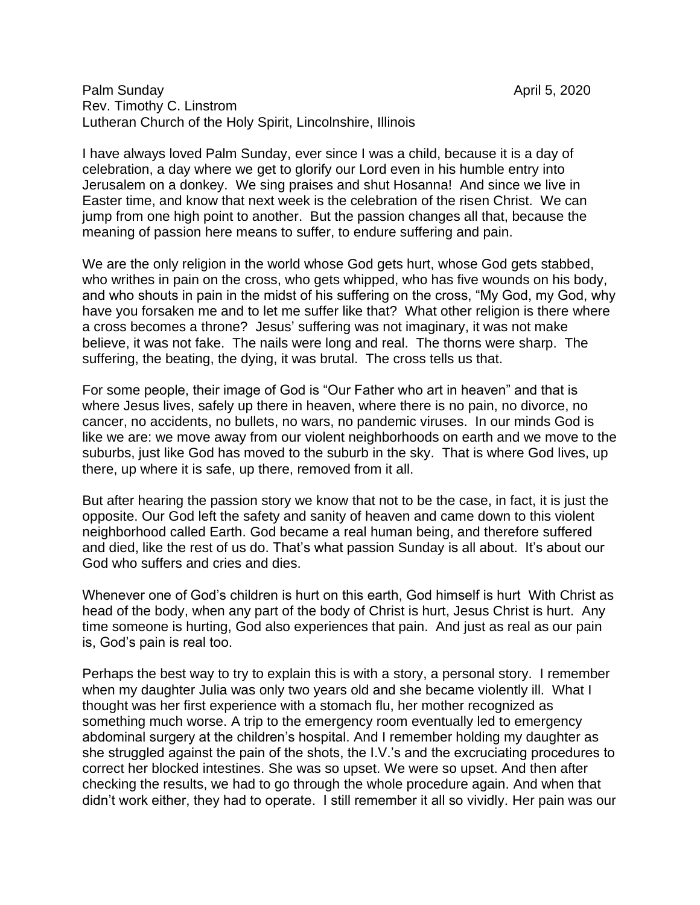## Palm Sunday April 5, 2020 Rev. Timothy C. Linstrom Lutheran Church of the Holy Spirit, Lincolnshire, Illinois

I have always loved Palm Sunday, ever since I was a child, because it is a day of celebration, a day where we get to glorify our Lord even in his humble entry into Jerusalem on a donkey. We sing praises and shut Hosanna! And since we live in Easter time, and know that next week is the celebration of the risen Christ. We can jump from one high point to another. But the passion changes all that, because the meaning of passion here means to suffer, to endure suffering and pain.

We are the only religion in the world whose God gets hurt, whose God gets stabbed, who writhes in pain on the cross, who gets whipped, who has five wounds on his body, and who shouts in pain in the midst of his suffering on the cross, "My God, my God, why have you forsaken me and to let me suffer like that? What other religion is there where a cross becomes a throne? Jesus' suffering was not imaginary, it was not make believe, it was not fake. The nails were long and real. The thorns were sharp. The suffering, the beating, the dying, it was brutal. The cross tells us that.

For some people, their image of God is "Our Father who art in heaven" and that is where Jesus lives, safely up there in heaven, where there is no pain, no divorce, no cancer, no accidents, no bullets, no wars, no pandemic viruses. In our minds God is like we are: we move away from our violent neighborhoods on earth and we move to the suburbs, just like God has moved to the suburb in the sky. That is where God lives, up there, up where it is safe, up there, removed from it all.

But after hearing the passion story we know that not to be the case, in fact, it is just the opposite. Our God left the safety and sanity of heaven and came down to this violent neighborhood called Earth. God became a real human being, and therefore suffered and died, like the rest of us do. That's what passion Sunday is all about. It's about our God who suffers and cries and dies.

Whenever one of God's children is hurt on this earth, God himself is hurt With Christ as head of the body, when any part of the body of Christ is hurt, Jesus Christ is hurt. Any time someone is hurting, God also experiences that pain. And just as real as our pain is, God's pain is real too.

Perhaps the best way to try to explain this is with a story, a personal story. I remember when my daughter Julia was only two years old and she became violently ill. What I thought was her first experience with a stomach flu, her mother recognized as something much worse. A trip to the emergency room eventually led to emergency abdominal surgery at the children's hospital. And I remember holding my daughter as she struggled against the pain of the shots, the I.V.'s and the excruciating procedures to correct her blocked intestines. She was so upset. We were so upset. And then after checking the results, we had to go through the whole procedure again. And when that didn't work either, they had to operate. I still remember it all so vividly. Her pain was our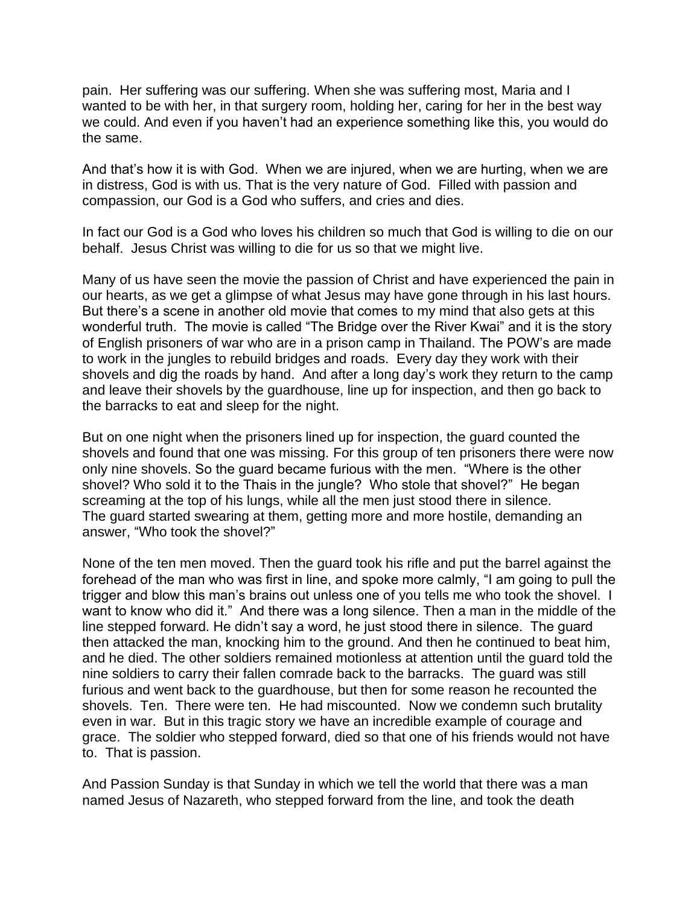pain. Her suffering was our suffering. When she was suffering most, Maria and I wanted to be with her, in that surgery room, holding her, caring for her in the best way we could. And even if you haven't had an experience something like this, you would do the same.

And that's how it is with God. When we are injured, when we are hurting, when we are in distress, God is with us. That is the very nature of God. Filled with passion and compassion, our God is a God who suffers, and cries and dies.

In fact our God is a God who loves his children so much that God is willing to die on our behalf. Jesus Christ was willing to die for us so that we might live.

Many of us have seen the movie the passion of Christ and have experienced the pain in our hearts, as we get a glimpse of what Jesus may have gone through in his last hours. But there's a scene in another old movie that comes to my mind that also gets at this wonderful truth. The movie is called "The Bridge over the River Kwai" and it is the story of English prisoners of war who are in a prison camp in Thailand. The POW's are made to work in the jungles to rebuild bridges and roads. Every day they work with their shovels and dig the roads by hand. And after a long day's work they return to the camp and leave their shovels by the guardhouse, line up for inspection, and then go back to the barracks to eat and sleep for the night.

But on one night when the prisoners lined up for inspection, the guard counted the shovels and found that one was missing. For this group of ten prisoners there were now only nine shovels. So the guard became furious with the men. "Where is the other shovel? Who sold it to the Thais in the jungle? Who stole that shovel?" He began screaming at the top of his lungs, while all the men just stood there in silence. The guard started swearing at them, getting more and more hostile, demanding an answer, "Who took the shovel?"

None of the ten men moved. Then the guard took his rifle and put the barrel against the forehead of the man who was first in line, and spoke more calmly, "I am going to pull the trigger and blow this man's brains out unless one of you tells me who took the shovel. I want to know who did it." And there was a long silence. Then a man in the middle of the line stepped forward. He didn't say a word, he just stood there in silence. The guard then attacked the man, knocking him to the ground. And then he continued to beat him, and he died. The other soldiers remained motionless at attention until the guard told the nine soldiers to carry their fallen comrade back to the barracks. The guard was still furious and went back to the guardhouse, but then for some reason he recounted the shovels. Ten. There were ten. He had miscounted. Now we condemn such brutality even in war. But in this tragic story we have an incredible example of courage and grace. The soldier who stepped forward, died so that one of his friends would not have to. That is passion.

And Passion Sunday is that Sunday in which we tell the world that there was a man named Jesus of Nazareth, who stepped forward from the line, and took the death